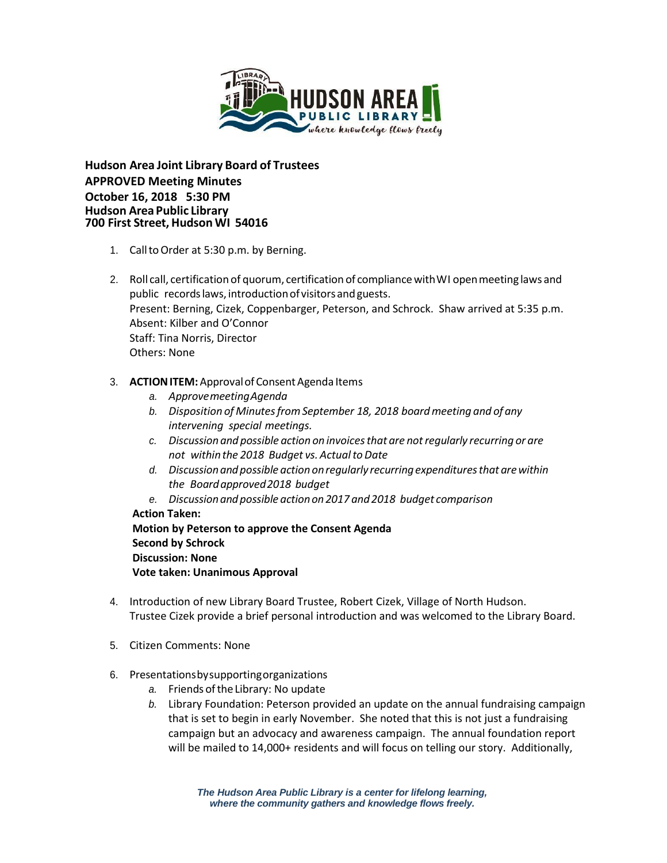

**Hudson Area Joint Library Board of Trustees APPROVED Meeting Minutes October 16, 2018 5:30 PM Hudson Area Public Library 700 First Street, Hudson WI 54016**

- 1. CalltoOrder at 5:30 p.m. by Berning.
- 2. Roll call, certification of quorum, certification of compliancewithWI openmeeting laws and public records laws, introduction of visitors and guests. Present: Berning, Cizek, Coppenbarger, Peterson, and Schrock. Shaw arrived at 5:35 p.m. Absent: Kilber and O'Connor Staff: Tina Norris, Director Others: None
- 3. **ACTION ITEM:** Approval of Consent Agenda Items
	- *a. ApprovemeetingAgenda*
	- *b. Disposition of MinutesfromSeptember 18, 2018 boardmeeting and of any intervening special meetings.*
	- *c. Discussion and possible action on invoicesthat are notregularly recurring or are not* within the 2018 Budget vs. Actual to Date
	- *d. Discussionandpossible action onregularly recurringexpendituresthat arewithin the Boardapproved2018 budget*
	- *e. Discussionandpossible actionon2017 and2018 budget comparison*
	- **Action Taken:**

**Motion by Peterson to approve the Consent Agenda Second by Schrock Discussion: None Vote taken: Unanimous Approval**

- 4. Introduction of new Library Board Trustee, Robert Cizek, Village of North Hudson. Trustee Cizek provide a brief personal introduction and was welcomed to the Library Board.
- 5. Citizen Comments: None
- 6. Presentationsbysupportingorganizations
	- a. Friends of the Library: No update
	- *b.* Library Foundation: Peterson provided an update on the annual fundraising campaign that is set to begin in early November. She noted that this is not just a fundraising campaign but an advocacy and awareness campaign. The annual foundation report will be mailed to 14,000+ residents and will focus on telling our story. Additionally,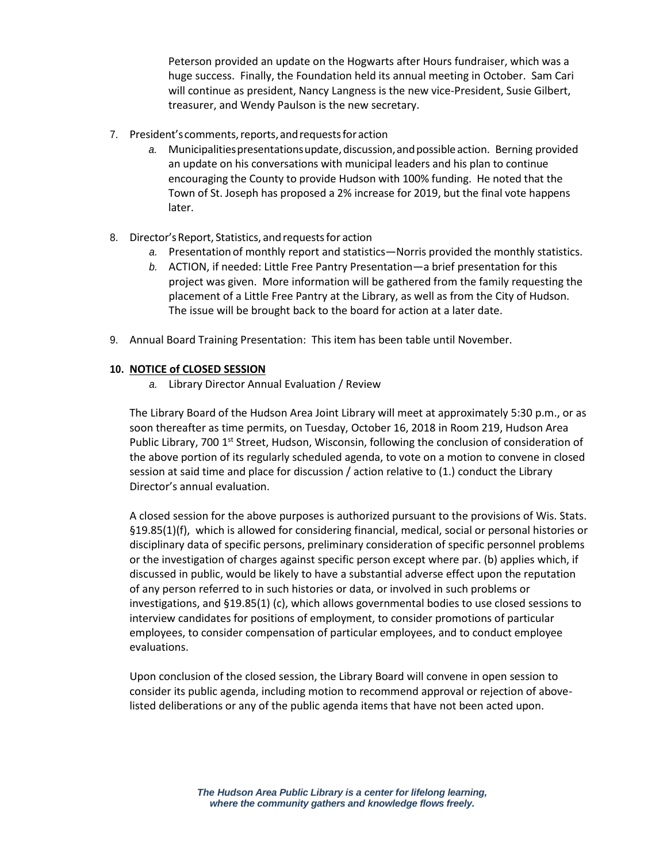Peterson provided an update on the Hogwarts after Hours fundraiser, which was a huge success. Finally, the Foundation held its annual meeting in October. Sam Cari will continue as president, Nancy Langness is the new vice-President, Susie Gilbert, treasurer, and Wendy Paulson is the new secretary.

- 7. President's comments,reports,andrequestsforaction
	- *a.* Municipalitiespresentationsupdate,discussion,andpossibleaction. Berning provided an update on his conversations with municipal leaders and his plan to continue encouraging the County to provide Hudson with 100% funding. He noted that the Town of St. Joseph has proposed a 2% increase for 2019, but the final vote happens later.
- 8. Director'sReport, Statistics, andrequestsfor action
	- *a.* Presentation of monthly report and statistics—Norris provided the monthly statistics.
	- *b.* ACTION, if needed: Little Free Pantry Presentation—a brief presentation for this project was given. More information will be gathered from the family requesting the placement of a Little Free Pantry at the Library, as well as from the City of Hudson. The issue will be brought back to the board for action at a later date.
- 9. Annual Board Training Presentation: This item has been table until November.

## **10. NOTICE of CLOSED SESSION**

*a.* Library Director Annual Evaluation / Review

The Library Board of the Hudson Area Joint Library will meet at approximately 5:30 p.m., or as soon thereafter as time permits, on Tuesday, October 16, 2018 in Room 219, Hudson Area Public Library, 700 1<sup>st</sup> Street, Hudson, Wisconsin, following the conclusion of consideration of the above portion of its regularly scheduled agenda, to vote on a motion to convene in closed session at said time and place for discussion / action relative to (1.) conduct the Library Director's annual evaluation.

A closed session for the above purposes is authorized pursuant to the provisions of Wis. Stats. §19.85(1)(f), which is allowed for considering financial, medical, social or personal histories or disciplinary data of specific persons, preliminary consideration of specific personnel problems or the investigation of charges against specific person except where par. (b) applies which, if discussed in public, would be likely to have a substantial adverse effect upon the reputation of any person referred to in such histories or data, or involved in such problems or investigations, and §19.85(1) (c), which allows governmental bodies to use closed sessions to interview candidates for positions of employment, to consider promotions of particular employees, to consider compensation of particular employees, and to conduct employee evaluations.

Upon conclusion of the closed session, the Library Board will convene in open session to consider its public agenda, including motion to recommend approval or rejection of abovelisted deliberations or any of the public agenda items that have not been acted upon.